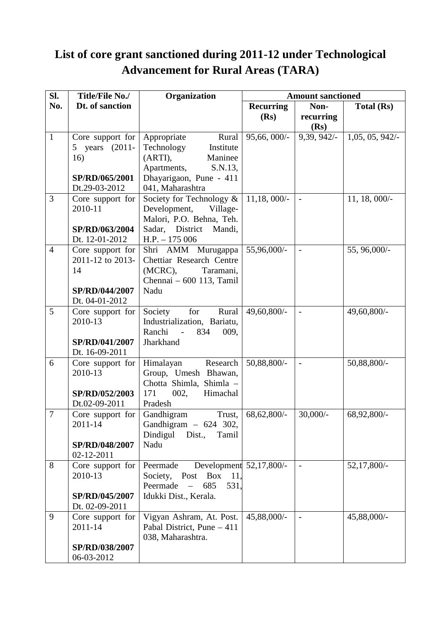## **List of core grant sanctioned during 2011-12 under Technological Advancement for Rural Areas (TARA)**

| SI.            | Title/File No./                      | Organization                                   | <b>Amount sanctioned</b> |                          |                   |  |
|----------------|--------------------------------------|------------------------------------------------|--------------------------|--------------------------|-------------------|--|
| No.            | Dt. of sanction                      |                                                | <b>Recurring</b>         | Non-                     | <b>Total (Rs)</b> |  |
|                |                                      |                                                | (Rs)                     | recurring                |                   |  |
|                |                                      |                                                |                          | (Rs)                     |                   |  |
| $\mathbf{1}$   | Core support for                     | Appropriate<br>Rural                           | $95,66,000/$ -           | 9,39, 942/-              | 1,05,05,942/      |  |
|                | 5 years (2011-                       | Technology<br>Institute                        |                          |                          |                   |  |
|                | 16)                                  | (ARTI),<br>Maninee                             |                          |                          |                   |  |
|                |                                      | Apartments,<br>S.N.13,                         |                          |                          |                   |  |
|                | SP/RD/065/2001                       | Dhayarigaon, Pune - 411                        |                          |                          |                   |  |
|                | Dt.29-03-2012                        | 041, Maharashtra                               |                          |                          |                   |  |
| 3              | Core support for                     | Society for Technology &                       | $11,18,000/-$            |                          | 11, 18, 000/-     |  |
|                | 2010-11                              | Development,<br>Village-                       |                          |                          |                   |  |
|                |                                      | Malori, P.O. Behna, Teh.                       |                          |                          |                   |  |
|                | SP/RD/063/2004                       | Sadar, District Mandi,                         |                          |                          |                   |  |
| $\overline{4}$ | Dt. 12-01-2012                       | $H.P. - 175006$                                |                          |                          |                   |  |
|                | Core support for<br>2011-12 to 2013- | Shri AMM Murugappa<br>Chettiar Research Centre | 55,96,000/-              | $\blacksquare$           | 55, 96,000/-      |  |
|                | 14                                   | $(MCRC)$ ,<br>Taramani,                        |                          |                          |                   |  |
|                |                                      | Chennai - 600 113, Tamil                       |                          |                          |                   |  |
|                | SP/RD/044/2007                       | Nadu                                           |                          |                          |                   |  |
|                | Dt. 04-01-2012                       |                                                |                          |                          |                   |  |
| 5              | Core support for                     | for<br>Society<br>Rural                        | 49,60,800/-              | $\overline{\phantom{a}}$ | 49,60,800/-       |  |
|                | 2010-13                              | Industrialization, Bariatu,                    |                          |                          |                   |  |
|                |                                      | Ranchi<br>$\sim$ $\sim$<br>834<br>009,         |                          |                          |                   |  |
|                | SP/RD/041/2007                       | Jharkhand                                      |                          |                          |                   |  |
|                | Dt. 16-09-2011                       |                                                |                          |                          |                   |  |
| 6              | Core support for                     | Himalayan<br>Research                          | 50,88,800/-              | $\overline{a}$           | 50,88,800/-       |  |
|                | 2010-13                              | Group, Umesh Bhawan,                           |                          |                          |                   |  |
|                |                                      | Chotta Shimla, Shimla -                        |                          |                          |                   |  |
|                | SP/RD/052/2003                       | 171<br>002,<br>Himachal                        |                          |                          |                   |  |
|                | Dt.02-09-2011                        | Pradesh                                        |                          |                          |                   |  |
| 7              | Core support for                     | Trust,<br>Gandhigram                           | 68,62,800/-              | $30,000/-$               | 68,92,800/-       |  |
|                | 2011-14                              | Gandhigram $-624$ 302,                         |                          |                          |                   |  |
|                |                                      | Dindigul<br>Tamil<br>Dist.,                    |                          |                          |                   |  |
|                | SP/RD/048/2007<br>02-12-2011         | Nadu                                           |                          |                          |                   |  |
| 8              | Core support for                     | Development 52,17,800/-<br>Peermade            |                          | $\overline{\phantom{a}}$ | 52,17,800/-       |  |
|                | 2010-13                              | <b>Box</b><br>Society, Post<br>11,             |                          |                          |                   |  |
|                |                                      | Peermade<br>685<br>531,<br>$\equiv$            |                          |                          |                   |  |
|                | SP/RD/045/2007                       | Idukki Dist., Kerala.                          |                          |                          |                   |  |
|                | Dt. 02-09-2011                       |                                                |                          |                          |                   |  |
| 9              | Core support for                     | Vigyan Ashram, At. Post.                       | 45,88,000/-              | $\overline{a}$           | 45,88,000/-       |  |
|                | 2011-14                              | Pabal District, Pune - 411                     |                          |                          |                   |  |
|                |                                      | 038, Maharashtra.                              |                          |                          |                   |  |
|                | SP/RD/038/2007                       |                                                |                          |                          |                   |  |
|                | 06-03-2012                           |                                                |                          |                          |                   |  |